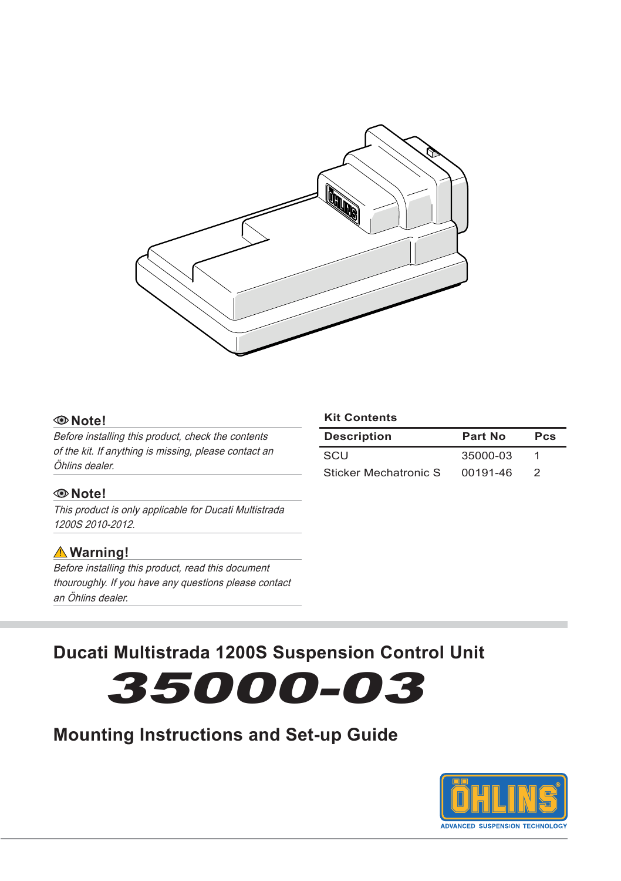

#### **Note!**

Before installing this product, check the contents of the kit. If anything is missing, please contact an Öhlins dealer.

#### **Note!**

This product is only applicable for Ducati Multistrada 1200S 2010-2012.

### **Warning!**

Before installing this product, read this document thouroughly. If you have any questions please contact an Öhlins dealer.

#### **Kit Contents**

| <b>Description</b>    | Part No  | <b>Pcs</b> |
|-----------------------|----------|------------|
| SCU                   | 35000-03 |            |
| Sticker Mechatronic S | 00191-46 | 2          |

## **Ducati Multistrada 1200S Suspension Control Unit**



## **Mounting Instructions and Set-up Guide**

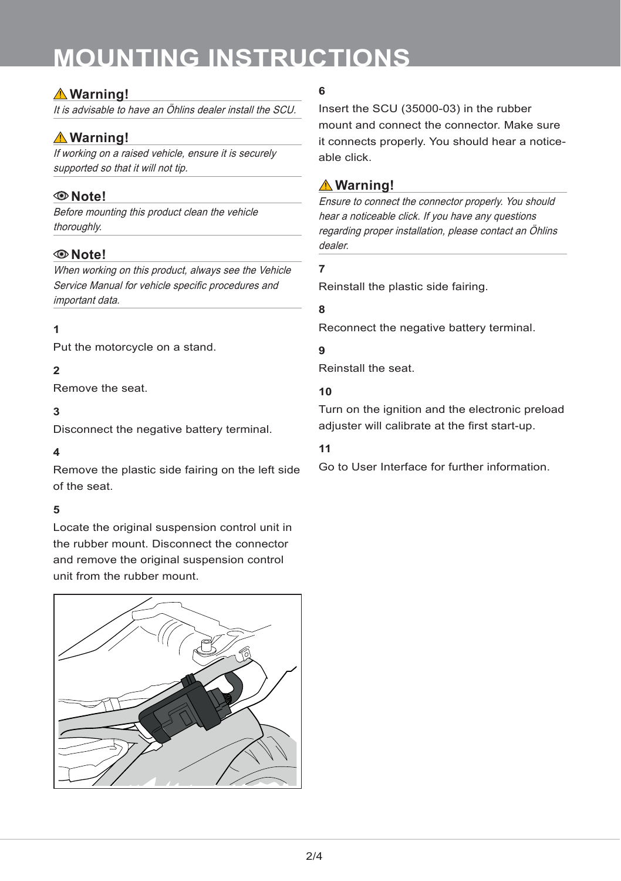# **mounting instructions**

## **Warning!**

It is advisable to have an Öhlins dealer install the SCU.

## **Warning!**

If working on a raised vehicle, ensure it is securely supported so that it will not tip.

## **Note!**

Before mounting this product clean the vehicle thoroughly.

## **Note!**

When working on this product, always see the Vehicle Service Manual for vehicle specific procedures and important data.

### **1**

Put the motorcycle on a stand.

#### **2**

Remove the seat.

### **3**

Disconnect the negative battery terminal.

#### **4**

Remove the plastic side fairing on the left side of the seat.

## **5**

Locate the original suspension control unit in the rubber mount. Disconnect the connector and remove the original suspension control unit from the rubber mount.



## **6**

Insert the SCU (35000-03) in the rubber mount and connect the connector. Make sure it connects properly. You should hear a noticeable click.

## **Warning!**

Ensure to connect the connector properly. You should hear a noticeable click. If you have any questions regarding proper installation, please contact an Öhlins dealer.

#### **7**

Reinstall the plastic side fairing.

#### **8**

Reconnect the negative battery terminal.

#### **9**

Reinstall the seat.

#### **10**

Turn on the ignition and the electronic preload adjuster will calibrate at the first start-up.

#### **11**

Go to User Interface for further information.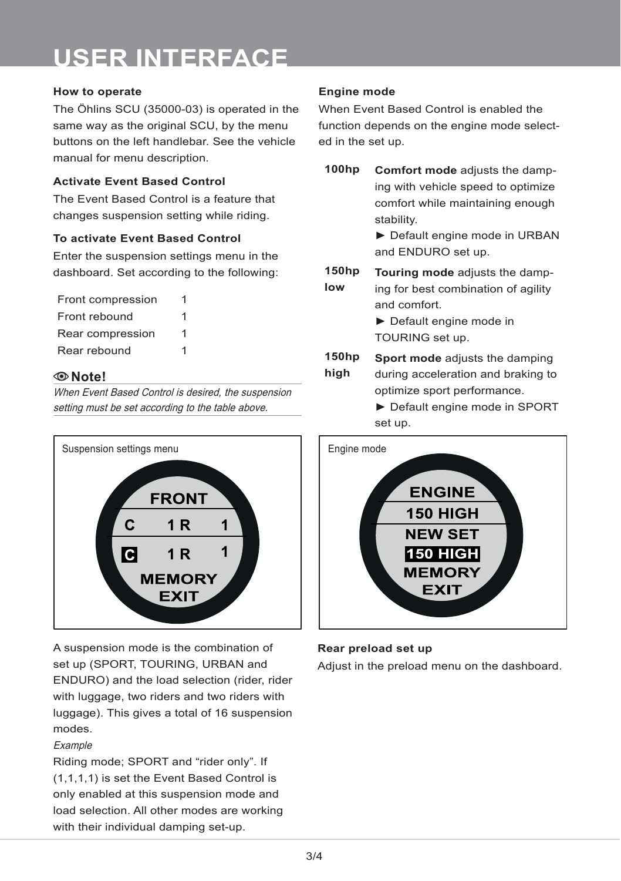# **user interface**

#### **How to operate**

The Öhlins SCU (35000-03) is operated in the same way as the original SCU, by the menu buttons on the left handlebar. See the vehicle manual for menu description.

#### **Activate Event Based Control**

The Event Based Control is a feature that changes suspension setting while riding.

#### **To activate Event Based Control**

Enter the suspension settings menu in the dashboard. Set according to the following:

| Front compression | 1 |
|-------------------|---|
| Front rebound     | 1 |
| Rear compression  | 1 |
| Rear rebound      | 1 |

#### **Note!**

When Event Based Control is desired, the suspension setting must be set according to the table above.



A suspension mode is the combination of set up (SPORT, TOURING, URBAN and ENDURO) and the load selection (rider, rider with luggage, two riders and two riders with luggage). This gives a total of 16 suspension modes.

#### Example

Riding mode; SPORT and "rider only". If (1,1,1,1) is set the Event Based Control is only enabled at this suspension mode and load selection. All other modes are working with their individual damping set-up.

#### **Engine mode**

When Event Based Control is enabled the function depends on the engine mode selected in the set up.

**100hp Comfort mode** adjusts the damping with vehicle speed to optimize comfort while maintaining enough stability.

► Default engine mode in URBAN and ENDURO set up.

**150hp low Touring mode** adjusts the damping for best combination of agility and comfort.

> ► Default engine mode in TOURING set up.

**150hp high Sport mode** adjusts the damping during acceleration and braking to optimize sport performance.

> ► Default engine mode in SPORT set up.



#### **Rear preload set up**

Adjust in the preload menu on the dashboard.